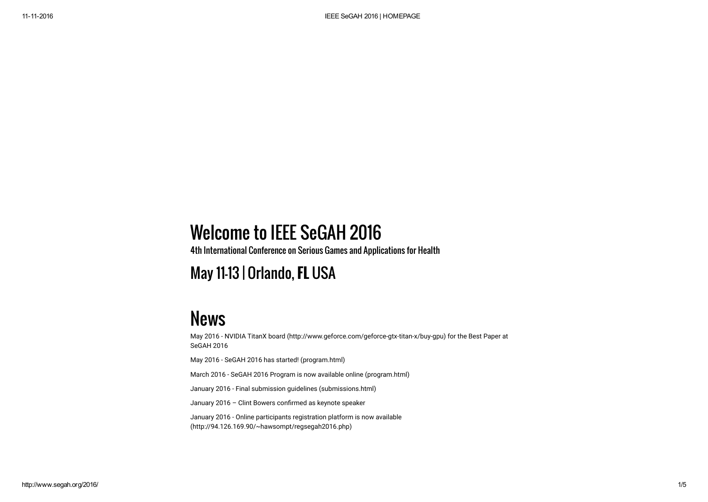## Welcome to IEEE SeGAH 2016

4th International Conference on Serious Games and Applications for Health

May 11-13 | Orlando, FL USA

## News

May 2016 - [NVIDIA TitanX board \(http://www.geforce.com/geforce-gtx-titan-x/buy-gpu\)](http://www.geforce.com/geforce-gtx-titan-x/buy-gpu) for the Best Paper at SeGAH 2016 May 2016 - [SeGAH 2016 has started! \(program.html\)](http://www.segah.org/2016/program.html) March 2016 - [SeGAH 2016 Program is now available online \(program.html\)](http://www.segah.org/2016/program.html) January 2016 - [Final submission guidelines \(submissions.html\)](http://www.segah.org/2016/submissions.html) January 2016 - Clint Bowers confirmed as keynote speaker [January 2016 - Online participants registration platform is now available](http://94.126.169.90/~hawsompt/regsegah2016.php)

(http://94.126.169.90/~hawsompt/regsegah2016.php)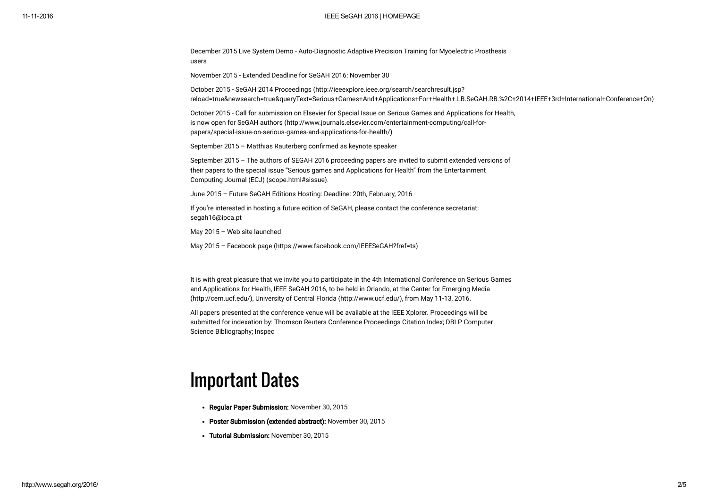#### 11112016 IEEE SeGAH 2016 | HOMEPAGE

December 2015 [Live System Demo - Auto-Diagnostic Adaptive Precision Training for Myoelectric Prosthesis](#page-4-0) users

November 2015 - Extended Deadline for SeGAH 2016: November 30

October 2015 - SeGAH 2014 Proceedings (http://ieeexplore.ieee.org/search/searchresult.jsp? [reload=true&newsearch=true&queryText=Serious+Games+And+Applications+For+Health+.LB.SeGAH.RB.%2C+2014+IEEE+3rd+International+Conference+On\)](http://ieeexplore.ieee.org/search/searchresult.jsp?reload=true&newsearch=true&queryText=Serious+Games+And+Applications+For+Health+.LB.SeGAH.RB.%2C+2014+IEEE+3rd+International+Conference+On)

[October 2015 - Call for submission on Elsevier for Special Issue on Serious Games and Applications for Health,](http://www.journals.elsevier.com/entertainment-computing/call-for-papers/special-issue-on-serious-games-and-applications-for-health/) is now open for SeGAH authors (http://www.journals.elsevier.com/entertainment-computing/call-forpapers/special-issue-on-serious-games-and-applications-for-health/)

September 2015 – Matthias Rauterberg conßrmed as keynote speaker

[September 2015 – The authors of SEGAH 2016 proceeding papers are invited to submit extended versions of](http://www.segah.org/2016/scope.html#sissue) their papers to the special issue "Serious games and Applications for Health" from the Entertainment Computing Journal (ECJ) (scope.html#sissue).

June 2015 – Future SeGAH Editions Hosting: Deadline: 20th, February, 2016

If you're interested in hosting a future edition of SeGAH, please contact the conference secretariat: segah16@ipca.pt

May 2015 – Web site launched

May 2015 – [Facebook page \(https://www.facebook.com/IEEESeGAH?fref=ts\)](https://www.facebook.com/IEEESeGAH?fref=ts)

It is with great pleasure that we invite you to participate in the 4th International Conference on Serious Games [and Applications for Health, IEEE SeGAH 2016, to be held in Orlando, at the Center for Emerging Media](http://cem.ucf.edu/) (http://cem.ucf.edu/), [University of Central Florida \(http://www.ucf.edu/\),](http://www.ucf.edu/) from May 11-13, 2016.

All papers presented at the conference venue will be available at the IEEE Xplorer. Proceedings will be submitted for indexation by: Thomson Reuters Conference Proceedings Citation Index; DBLP Computer Science Bibliography; Inspec

## Important Dates

- Regular Paper Submission: November 30, 2015
- Poster Submission (extended abstract): November 30, 2015
- Tutorial Submission: November 30, 2015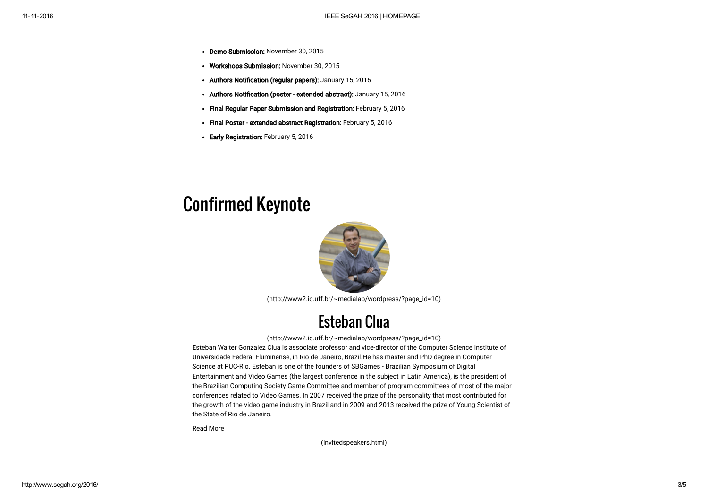- Demo Submission: November 30, 2015
- Workshops Submission: November 30, 2015
- Authors Notification (regular papers): January 15, 2016
- Authors Notification (poster extended abstract): January 15, 2016
- Final Regular Paper Submission and Registration: February 5, 2016
- Final Poster extended abstract Registration: February 5, 2016
- Early Registration: February 5, 2016

### Confirmed Keynote



[\(http://www2.ic.uff.br/~medialab/wordpress/?page\\_id=10\)](http://www2.ic.uff.br/~medialab/wordpress/?page_id=10)

#### Esteban Clua

#### [\(http://www2.ic.uff.br/~medialab/wordpress/?page\\_id=10\)](http://www2.ic.uff.br/~medialab/wordpress/?page_id=10)

Esteban Walter Gonzalez Clua is associate professor and vice-director of the Computer Science Institute of Universidade Federal Fluminense, in Rio de Janeiro, Brazil.He has master and PhD degree in Computer Science at PUC-Rio. Esteban is one of the founders of SBGames - Brazilian Symposium of Digital Entertainment and Video Games (the largest conference in the subject in Latin America), is the president of the Brazilian Computing Society Game Committee and member of program committees of most of the major conferences related to Video Games. In 2007 received the prize of the personality that most contributed for the growth of the video game industry in Brazil and in 2009 and 2013 received the prize of Young Scientist of the State of Rio de Janeiro.

Read More

[\(invitedspeakers.html\)](http://www.segah.org/2016/invitedspeakers.html)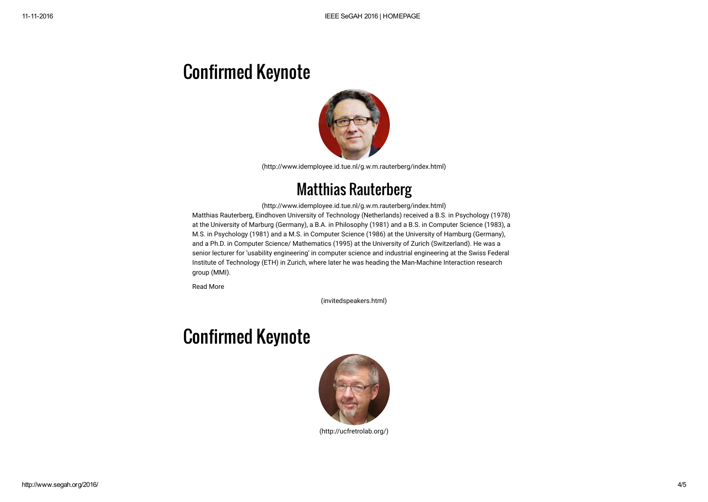# Confirmed Keynote



[\(http://www.idemployee.id.tue.nl/g.w.m.rauterberg/index.html\)](http://www.idemployee.id.tue.nl/g.w.m.rauterberg/index.html)

#### [Matthias Rauterberg](http://www.idemployee.id.tue.nl/g.w.m.rauterberg/index.html)

(http://www.idemployee.id.tue.nl/g.w.m.rauterberg/index.html) Matthias Rauterberg, Eindhoven University of Technology (Netherlands) received a B.S. in Psychology (1978) at the University of Marburg (Germany), a B.A. in Philosophy (1981) and a B.S. in Computer Science (1983), a M.S. in Psychology (1981) and a M.S. in Computer Science (1986) at the University of Hamburg (Germany), and a Ph.D. in Computer Science/ Mathematics (1995) at the University of Zurich (Switzerland). He was a senior lecturer for 'usability engineering' in computer science and industrial engineering at the Swiss Federal Institute of Technology (ETH) in Zurich, where later he was heading the Man-Machine Interaction research group (MMI).

Read More

[\(invitedspeakers.html\)](http://www.segah.org/2016/invitedspeakers.html)

## Confirmed Keynote



[\(http://ucfretrolab.org/\)](http://ucfretrolab.org/)